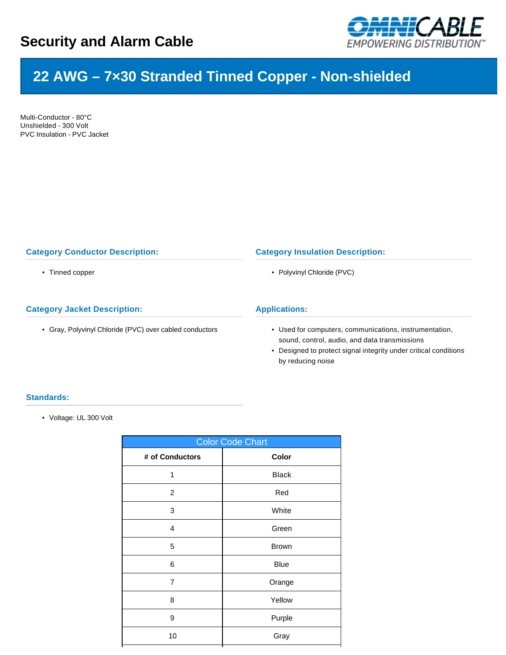

# **22 AWG – 7×30 Stranded Tinned Copper - Non-shielded**

Multi-Conductor - 80°C Unshielded - 300 Volt PVC Insulation - PVC Jacket

# **Category Conductor Description:**

• Tinned copper

# **Category Jacket Description:**

• Gray, Polyvinyl Chloride (PVC) over cabled conductors

### **Category Insulation Description:**

• Polyvinyl Chloride (PVC)

## **Applications:**

- Used for computers, communications, instrumentation, sound, control, audio, and data transmissions
- Designed to protect signal integrity under critical conditions by reducing noise

## **Standards:**

• Voltage: UL 300 Volt

| <b>Color Code Chart</b> |              |  |  |  |  |
|-------------------------|--------------|--|--|--|--|
| # of Conductors         | Color        |  |  |  |  |
| 1                       | <b>Black</b> |  |  |  |  |
| $\overline{2}$          | Red          |  |  |  |  |
| 3                       | White        |  |  |  |  |
| 4                       | Green        |  |  |  |  |
| 5                       | <b>Brown</b> |  |  |  |  |
| 6                       | <b>Blue</b>  |  |  |  |  |
| $\overline{7}$          | Orange       |  |  |  |  |
| 8                       | Yellow       |  |  |  |  |
| 9                       | Purple       |  |  |  |  |
| 10                      | Gray         |  |  |  |  |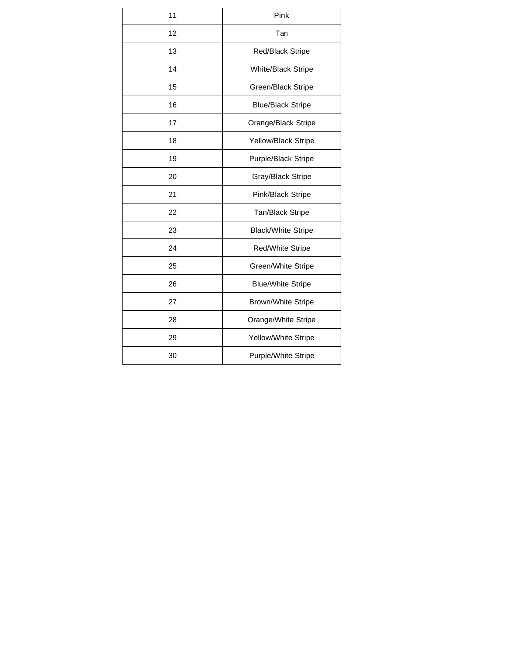| 11 | Pink                      |  |  |  |  |
|----|---------------------------|--|--|--|--|
| 12 | Tan                       |  |  |  |  |
| 13 | Red/Black Stripe          |  |  |  |  |
| 14 | White/Black Stripe        |  |  |  |  |
| 15 | Green/Black Stripe        |  |  |  |  |
| 16 | <b>Blue/Black Stripe</b>  |  |  |  |  |
| 17 | Orange/Black Stripe       |  |  |  |  |
| 18 | Yellow/Black Stripe       |  |  |  |  |
| 19 | Purple/Black Stripe       |  |  |  |  |
| 20 | Gray/Black Stripe         |  |  |  |  |
| 21 | Pink/Black Stripe         |  |  |  |  |
| 22 | Tan/Black Stripe          |  |  |  |  |
| 23 | <b>Black/White Stripe</b> |  |  |  |  |
| 24 | Red/White Stripe          |  |  |  |  |
| 25 | Green/White Stripe        |  |  |  |  |
| 26 | <b>Blue/White Stripe</b>  |  |  |  |  |
| 27 | <b>Brown/White Stripe</b> |  |  |  |  |
| 28 | Orange/White Stripe       |  |  |  |  |
| 29 | Yellow/White Stripe       |  |  |  |  |
| 30 | Purple/White Stripe       |  |  |  |  |